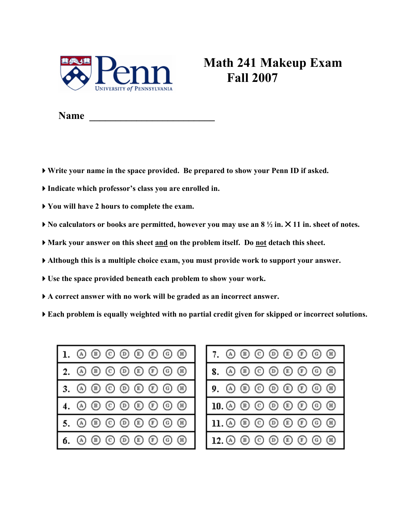

## Math 241 Makeup Exam Fall 2007

Name \_\_\_\_\_\_\_\_\_\_\_\_\_\_\_\_\_\_\_\_\_\_\_\_

- Write your name in the space provided. Be prepared to show your Penn ID if asked.
- Indicate which professor's class you are enrolled in.
- You will have 2 hours to complete the exam.
- $\triangleright$  No calculators or books are permitted, however you may use an 8  $\frac{1}{2}$  in.  $\triangleright$  11 in. sheet of notes.
- Mark your answer on this sheet and on the problem itself. Do not detach this sheet.
- Although this is a multiple choice exam, you must provide work to support your answer.
- Use the space provided beneath each problem to show your work.
- A correct answer with no work will be graded as an incorrect answer.
- Each problem is equally weighted with no partial credit given for skipped or incorrect solutions.



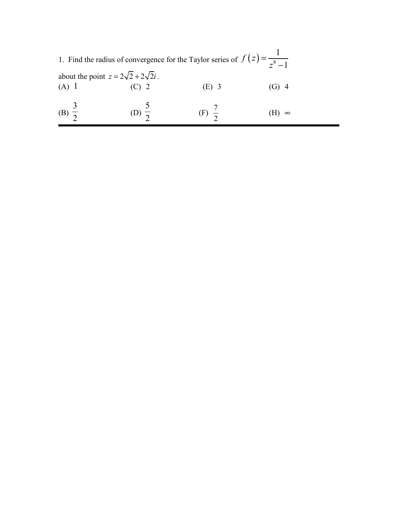|                                                           | 1. Find the radius of convergence for the Taylor series of $f(z) = \frac{1}{z^8 - 1}$ |          |  |
|-----------------------------------------------------------|---------------------------------------------------------------------------------------|----------|--|
| about the point $z = 2\sqrt{2} + 2\sqrt{2}i$ .<br>$(A)$ 1 | (E) 3                                                                                 |          |  |
| (B) $\frac{3}{2}$                                         | $(F)$ $\frac{\ }{2}$                                                                  | $\infty$ |  |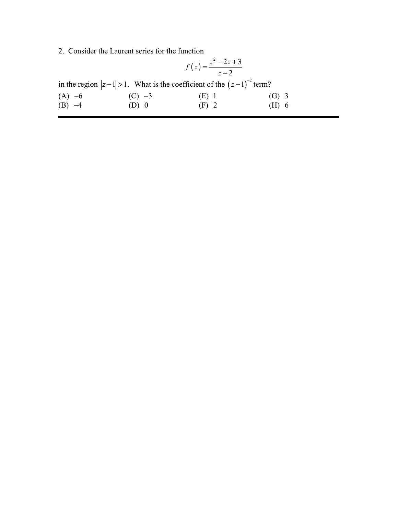2. Consider the Laurent series for the function

$$
f(z) = \frac{z^2 - 2z + 3}{z - 2}
$$

|          | in the region $ z-1 >1$ . What is the coefficient of the $(z-1)^{-2}$ term? |         |         |
|----------|-----------------------------------------------------------------------------|---------|---------|
| $(A) -6$ | $(C) -3$                                                                    | $(E)$ 1 | $(G)$ 3 |
| $(B) -4$ | $(D)$ 0                                                                     | $(F)$ 2 | $(H)$ 6 |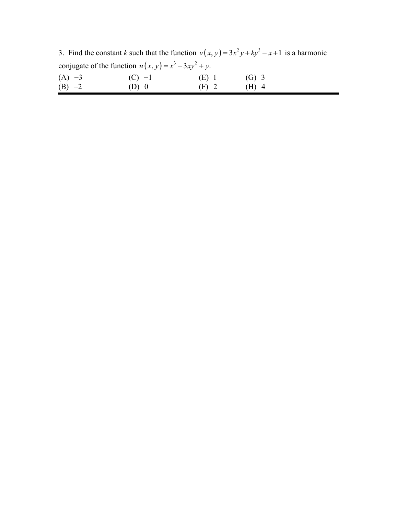3. Find the constant k such that the function  $v(x, y) = 3x^2y + ky^3 - x + 1$  is a harmonic conjugate of the function  $u(x, y) = x^3 - 3xy^2 + y$ .

| $(A) -3$ | $(C) -1$ | (E) 1   | $(G)$ 3 |  |
|----------|----------|---------|---------|--|
| $(B) -2$ | $(D)$ 0  | $(F)$ 2 | $(H)$ 4 |  |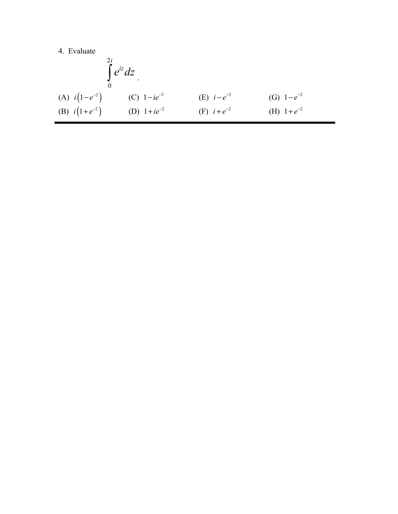$$
\int_{0}^{2i} e^{iz} dz
$$
\n(A)  $i(1-e^{-2})$  (C)  $1-ie^{-2}$  (E)  $i-e^{-2}$  (G)  $1-e^{-2}$   
\n(B)  $i(1+e^{-2})$  (D)  $1+ie^{-2}$  (F)  $i+e^{-2}$  (H)  $1+e^{-2}$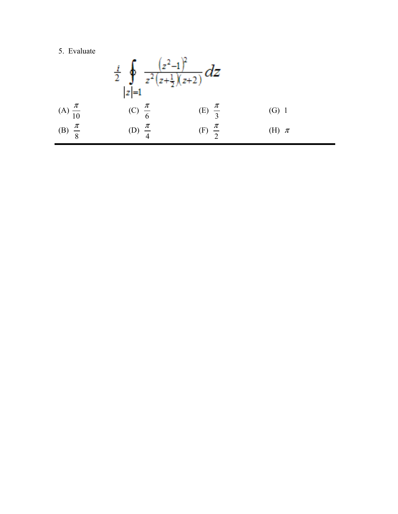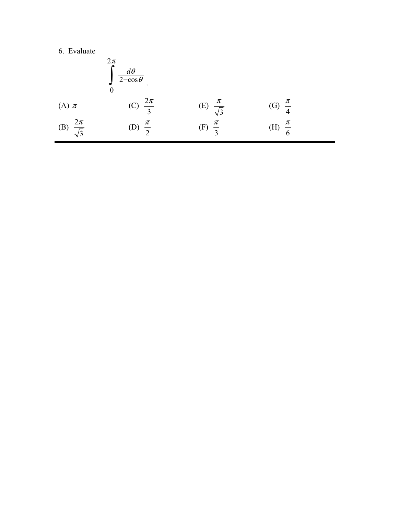|                             | $2\pi$<br>$\int \frac{d\theta}{2-\cos\theta}$ |                            |                     |  |
|-----------------------------|-----------------------------------------------|----------------------------|---------------------|--|
| (A) $\pi$                   | (C) $\frac{2\pi}{3}$                          | (E) $\frac{\pi}{\sqrt{3}}$ | (G) $\frac{\pi}{4}$ |  |
| (B) $\frac{2\pi}{\sqrt{3}}$ | $rac{\pi}{2}$<br>(D)                          | (F) $\frac{\pi}{2}$        | (H) $\frac{\pi}{6}$ |  |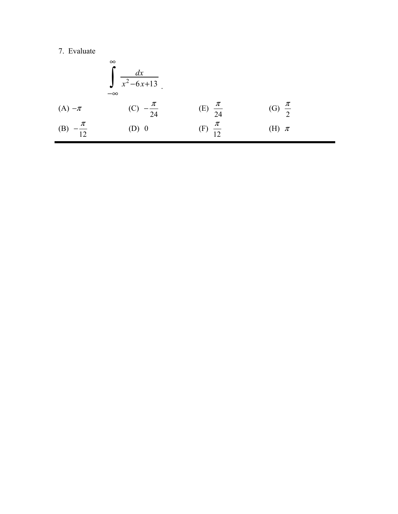(A) 
$$
-\pi
$$
  
\n(B)  $-\frac{\pi}{12}$   
\n(C)  $-\frac{\pi}{24}$   
\n(D) 0  
\n(E)  $\frac{\pi}{24}$   
\n(E)  $\frac{\pi}{24}$   
\n(E)  $\frac{\pi}{24}$   
\n(E)  $\frac{\pi}{12}$   
\n(E)  $\frac{\pi}{12}$   
\n(E)  $\frac{\pi}{12}$   
\n(E)  $\frac{\pi}{12}$   
\n(E)  $\frac{\pi}{12}$   
\n(E)  $\frac{\pi}{12}$   
\n(E)  $\frac{\pi}{12}$   
\n(E)  $\frac{\pi}{12}$   
\n(E)  $\frac{\pi}{12}$   
\n(E)  $\frac{\pi}{12}$   
\n(E)  $\frac{\pi}{12}$   
\n(E)  $\frac{\pi}{12}$   
\n(E)  $\frac{\pi}{12}$   
\n(E)  $\frac{\pi}{12}$   
\n(E)  $\frac{\pi}{12}$   
\n(E)  $\frac{\pi}{12}$   
\n(E)  $\frac{\pi}{12}$   
\n(E)  $\frac{\pi}{12}$   
\n(E)  $\frac{\pi}{12}$   
\n(E)  $\frac{\pi}{12}$   
\n(E)  $\frac{\pi}{12}$   
\n(E)  $\frac{\pi}{12}$   
\n(E)  $\frac{\pi}{12}$   
\n(E)  $\frac{\pi}{12}$   
\n(E)  $\frac{\pi}{12}$   
\n(E)  $\frac{\pi}{12}$   
\n(E)  $\frac{\pi}{12}$   
\n(E)  $\frac{\pi}{12}$   
\n(E)  $\frac{\pi}{12}$   
\n(E)  $\frac{\pi}{12}$   
\n(E)  $\frac{\pi}{12}$   
\n(E)  $\frac{\pi}{12}$   
\n(E)  $\frac{\pi}{12}$   
\n(E)  $\frac{\pi}{12}$   
\n(E)  $\frac{\pi}{12}$   
\n(E)  $\frac{\pi}{12}$   
\n(E)  $\frac{\pi}{12}$   
\n(E)  $\frac{\pi}{12}$   
\n(E)  $\frac{\pi}{12}$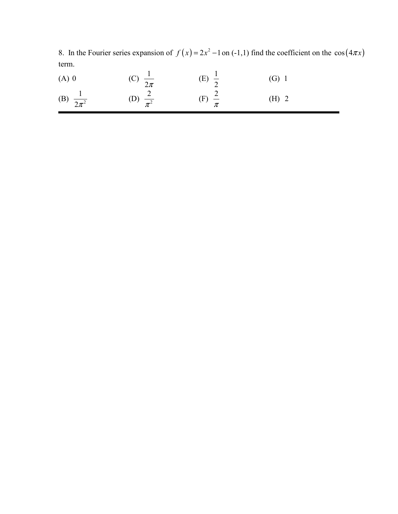8. In the Fourier series expansion of  $f(x) = 2x^2 - 1$  on (-1,1) find the coefficient on the cos( $4\pi x$ ) term.

| $(A)$ 0                | (C) $\frac{1}{2\pi}$  | (E) $\frac{1}{2}$       | $(G)$ 1 |
|------------------------|-----------------------|-------------------------|---------|
| (B) $\frac{1}{2\pi^2}$ | (D) $\frac{2}{\pi^2}$ | $(F)$ $\stackrel{2}{-}$ | $(H)$ 2 |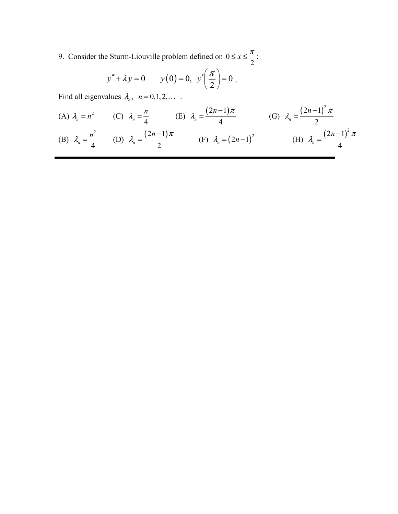9. Consider the Sturm-Liouville problem defined on 0 2  $\leq x \leq \frac{\pi}{2}$ :

$$
y'' + \lambda y = 0
$$
  $y(0) = 0, y'\left(\frac{\pi}{2}\right) = 0$ .

Find all eigenvalues  $\lambda_n$ ,  $n = 0, 1, 2, \dots$ .

(A) 
$$
\lambda_n = n^2
$$
 (C)  $\lambda_n = \frac{n}{4}$  (E)  $\lambda_n = \frac{(2n-1)\pi}{4}$  (G)  $\lambda_n = \frac{(2n-1)^2 \pi}{2}$   
\n(B)  $\lambda_n = \frac{n^2}{4}$  (D)  $\lambda_n = \frac{(2n-1)\pi}{2}$  (F)  $\lambda_n = (2n-1)^2$  (H)  $\lambda_n = \frac{(2n-1)^2 \pi}{4}$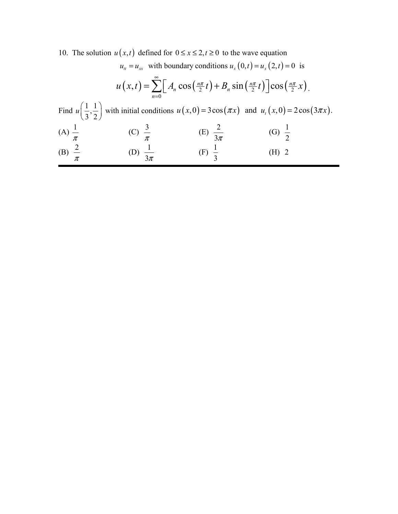10. The solution  $u(x,t)$  defined for  $0 \le x \le 2, t \ge 0$  to the wave equation

$$
u_{tt} = u_{xx} \text{ with boundary conditions } u_x(0,t) = u_x(2,t) = 0 \text{ is}
$$
  
\n
$$
u(x,t) = \sum_{n=0}^{\infty} \left[ A_n \cos\left(\frac{n\pi}{2}t\right) + B_n \sin\left(\frac{n\pi}{2}t\right) \right] \cos\left(\frac{n\pi}{2}x\right).
$$
  
\nFind  $u\left(\frac{1}{3},\frac{1}{2}\right)$  with initial conditions  $u(x,0) = 3\cos(\pi x)$  and  $u_t(x,0) = 2\cos(3\pi x)$ .  
\n(A)  $\frac{1}{\pi}$  \t(C)  $\frac{3}{\pi}$  \t(E)  $\frac{2}{3\pi}$  \t(G)  $\frac{1}{2}$   
\n(B)  $\frac{2}{\pi}$  \t(D)  $\frac{1}{3\pi}$  \t(F)  $\frac{1}{3}$  \t(H) 2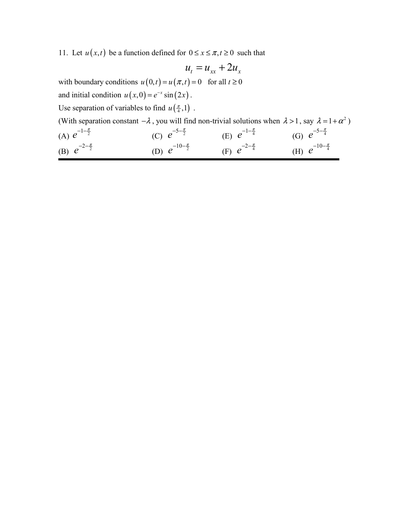11. Let  $u(x,t)$  be a function defined for  $0 \le x \le \pi, t \ge 0$  such that

$$
u_t = u_{xx} + 2u_x
$$

with boundary conditions  $u(0, t) = u(\pi, t) = 0$  for all  $t \ge 0$ 

and initial condition  $u(x, 0) = e^{-x} \sin(2x)$ .

Use separation of variables to find  $u\left(\frac{\pi}{4},1\right)$ .

| (With separation constant $-\lambda$ , you will find non-trivial solutions when $\lambda > 1$ , say $\lambda = 1 + \alpha^2$ ) |                             |                            |                             |
|--------------------------------------------------------------------------------------------------------------------------------|-----------------------------|----------------------------|-----------------------------|
| (A) $e^{-1-\frac{\pi}{2}}$                                                                                                     | (C) $e^{-5-\frac{\pi}{2}}$  | (E) $e^{-1-\frac{\pi}{4}}$ | (G) $e^{-5-\frac{\pi}{4}}$  |
| (B) $e^{-2-\frac{\pi}{2}}$                                                                                                     | (D) $e^{-10-\frac{\pi}{2}}$ | (F) $e^{-2-\frac{\pi}{4}}$ | (H) $e^{-10-\frac{\pi}{4}}$ |